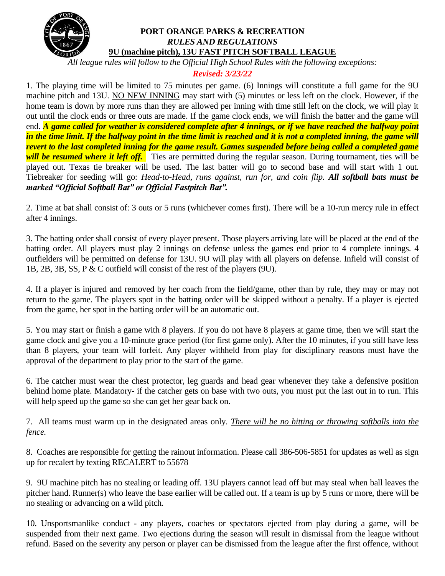

#### **PORT ORANGE PARKS & RECREATION** *RULES AND REGULATIONS* **9U (machine pitch), 13U FAST PITCH SOFTBALL LEAGUE**

*All league rules will follow to the Official High School Rules with the following exceptions:*

## *Revised: 3/23/22*

1. The playing time will be limited to 75 minutes per game. (6) Innings will constitute a full game for the 9U machine pitch and 13U. NO NEW INNING may start with (5) minutes or less left on the clock. However, if the home team is down by more runs than they are allowed per inning with time still left on the clock, we will play it out until the clock ends or three outs are made. If the game clock ends, we will finish the batter and the game will end. *A game called for weather is considered complete after 4 innings, or if we have reached the halfway point in the time limit. If the halfway point in the time limit is reached and it is not a completed inning, the game will revert to the last completed inning for the game result. Games suspended before being called a completed game will be resumed where it left off.* Ties are permitted during the regular season. During tournament, ties will be played out. Texas tie breaker will be used. The last batter will go to second base and will start with 1 out. Tiebreaker for seeding will go: *Head-to-Head, runs against, run for, and coin flip. All softball bats must be marked "Official Softball Bat" or Official Fastpitch Bat".*

2. Time at bat shall consist of: 3 outs or 5 runs (whichever comes first). There will be a 10-run mercy rule in effect after 4 innings.

3. The batting order shall consist of every player present. Those players arriving late will be placed at the end of the batting order. All players must play 2 innings on defense unless the games end prior to 4 complete innings. 4 outfielders will be permitted on defense for 13U. 9U will play with all players on defense. Infield will consist of 1B, 2B, 3B, SS, P & C outfield will consist of the rest of the players (9U).

4. If a player is injured and removed by her coach from the field/game, other than by rule, they may or may not return to the game. The players spot in the batting order will be skipped without a penalty. If a player is ejected from the game, her spot in the batting order will be an automatic out.

5. You may start or finish a game with 8 players. If you do not have 8 players at game time, then we will start the game clock and give you a 10-minute grace period (for first game only). After the 10 minutes, if you still have less than 8 players, your team will forfeit. Any player withheld from play for disciplinary reasons must have the approval of the department to play prior to the start of the game.

6. The catcher must wear the chest protector, leg guards and head gear whenever they take a defensive position behind home plate. Mandatory- if the catcher gets on base with two outs, you must put the last out in to run. This will help speed up the game so she can get her gear back on.

7. All teams must warm up in the designated areas only. *There will be no hitting or throwing softballs into the fence.*

8. Coaches are responsible for getting the rainout information. Please call 386-506-5851 for updates as well as sign up for recalert by texting RECALERT to 55678

9. 9U machine pitch has no stealing or leading off. 13U players cannot lead off but may steal when ball leaves the pitcher hand. Runner(s) who leave the base earlier will be called out. If a team is up by 5 runs or more, there will be no stealing or advancing on a wild pitch.

10. Unsportsmanlike conduct - any players, coaches or spectators ejected from play during a game, will be suspended from their next game. Two ejections during the season will result in dismissal from the league without refund. Based on the severity any person or player can be dismissed from the league after the first offence, without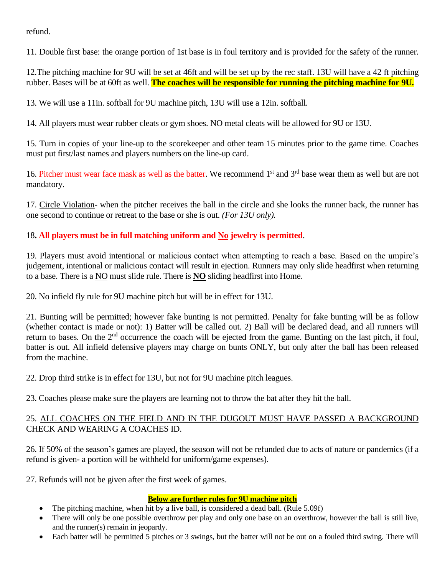refund.

11. Double first base: the orange portion of 1st base is in foul territory and is provided for the safety of the runner.

12.The pitching machine for 9U will be set at 46ft and will be set up by the rec staff. 13U will have a 42 ft pitching rubber. Bases will be at 60ft as well. **The coaches will be responsible for running the pitching machine for 9U.**

13. We will use a 11in. softball for 9U machine pitch, 13U will use a 12in. softball.

14. All players must wear rubber cleats or gym shoes. NO metal cleats will be allowed for 9U or 13U.

15. Turn in copies of your line-up to the scorekeeper and other team 15 minutes prior to the game time. Coaches must put first/last names and players numbers on the line-up card.

16. Pitcher must wear face mask as well as the batter. We recommend 1<sup>st</sup> and 3<sup>rd</sup> base wear them as well but are not mandatory.

17. Circle Violation- when the pitcher receives the ball in the circle and she looks the runner back, the runner has one second to continue or retreat to the base or she is out. *(For 13U only).*

# 18**. All players must be in full matching uniform and No jewelry is permitted**.

19. Players must avoid intentional or malicious contact when attempting to reach a base. Based on the umpire's judgement, intentional or malicious contact will result in ejection. Runners may only slide headfirst when returning to a base. There is a NO must slide rule. There is **NO** sliding headfirst into Home.

20. No infield fly rule for 9U machine pitch but will be in effect for 13U.

21. Bunting will be permitted; however fake bunting is not permitted. Penalty for fake bunting will be as follow (whether contact is made or not): 1) Batter will be called out. 2) Ball will be declared dead, and all runners will return to bases. On the  $2<sup>nd</sup>$  occurrence the coach will be ejected from the game. Bunting on the last pitch, if foul, batter is out. All infield defensive players may charge on bunts ONLY, but only after the ball has been released from the machine.

22. Drop third strike is in effect for 13U, but not for 9U machine pitch leagues.

23. Coaches please make sure the players are learning not to throw the bat after they hit the ball.

### 25. ALL COACHES ON THE FIELD AND IN THE DUGOUT MUST HAVE PASSED A BACKGROUND CHECK AND WEARING A COACHES ID.

26. If 50% of the season's games are played, the season will not be refunded due to acts of nature or pandemics (if a refund is given- a portion will be withheld for uniform/game expenses).

27. Refunds will not be given after the first week of games.

### **Below are further rules for 9U machine pitch**

- The pitching machine, when hit by a live ball, is considered a dead ball. (Rule 5.09f)
- There will only be one possible overthrow per play and only one base on an overthrow, however the ball is still live, and the runner(s) remain in jeopardy.
- Each batter will be permitted 5 pitches or 3 swings, but the batter will not be out on a fouled third swing. There will